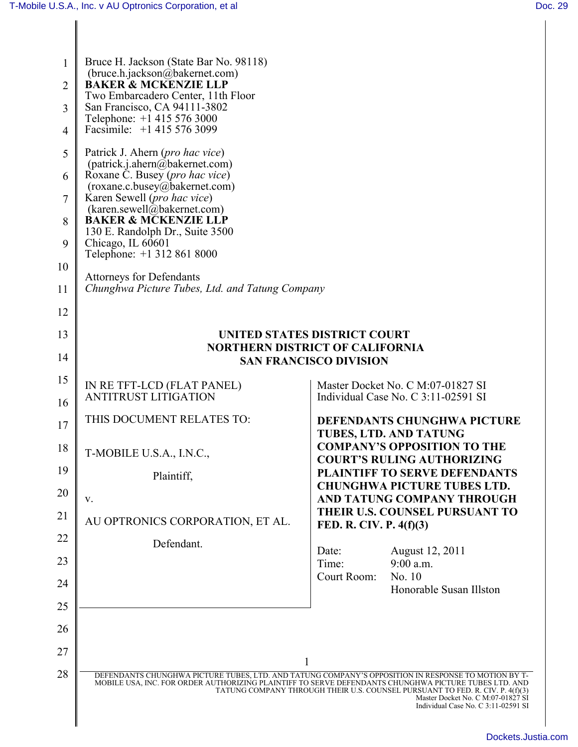| $\mathbf{1}$   | Bruce H. Jackson (State Bar No. 98118)<br>(bruce.h.jackson@bakernet.com)<br><b>BAKER &amp; MCKENZIE LLP</b> |                                                                                                                                                                                                                                                                                                                                                                          |  |
|----------------|-------------------------------------------------------------------------------------------------------------|--------------------------------------------------------------------------------------------------------------------------------------------------------------------------------------------------------------------------------------------------------------------------------------------------------------------------------------------------------------------------|--|
| $\overline{2}$ | Two Embarcadero Center, 11th Floor                                                                          |                                                                                                                                                                                                                                                                                                                                                                          |  |
| 3              | San Francisco, CA 94111-3802<br>Telephone: +1 415 576 3000<br>Facsimile: +1 415 576 3099                    |                                                                                                                                                                                                                                                                                                                                                                          |  |
| 4              |                                                                                                             |                                                                                                                                                                                                                                                                                                                                                                          |  |
| 5              | Patrick J. Ahern (pro hac vice)<br>(patrick.j.ahern@bakernet.com)<br>Roxane C. Busey (pro hac vice)         |                                                                                                                                                                                                                                                                                                                                                                          |  |
| 6<br>7         | (roxane.c.busey@bakernet.com)<br>Karen Sewell (pro hac vice)                                                |                                                                                                                                                                                                                                                                                                                                                                          |  |
| 8              | (karen.sewell@bakernet.com)<br><b>BAKER &amp; MCKENZIE LLP</b>                                              |                                                                                                                                                                                                                                                                                                                                                                          |  |
| 9              | 130 E. Randolph Dr., Suite 3500<br>Chicago, IL 60601                                                        |                                                                                                                                                                                                                                                                                                                                                                          |  |
| 10             | Telephone: +1 312 861 8000                                                                                  |                                                                                                                                                                                                                                                                                                                                                                          |  |
| 11             | <b>Attorneys for Defendants</b><br>Chunghwa Picture Tubes, Ltd. and Tatung Company                          |                                                                                                                                                                                                                                                                                                                                                                          |  |
| 12             |                                                                                                             |                                                                                                                                                                                                                                                                                                                                                                          |  |
| 13             | UNITED STATES DISTRICT COURT<br><b>NORTHERN DISTRICT OF CALIFORNIA</b>                                      |                                                                                                                                                                                                                                                                                                                                                                          |  |
| 14             |                                                                                                             | <b>SAN FRANCISCO DIVISION</b>                                                                                                                                                                                                                                                                                                                                            |  |
| 15             | IN RE TFT-LCD (FLAT PANEL)                                                                                  | Master Docket No. C M:07-01827 SI                                                                                                                                                                                                                                                                                                                                        |  |
| 16             | <b>ANTITRUST LITIGATION</b>                                                                                 | Individual Case No. C 3:11-02591 SI                                                                                                                                                                                                                                                                                                                                      |  |
| 17             | THIS DOCUMENT RELATES TO:                                                                                   | <b>DEFENDANTS CHUNGHWA PICTURE</b><br>TUBES, LTD. AND TATUNG                                                                                                                                                                                                                                                                                                             |  |
| 18             | T-MOBILE U.S.A., I.N.C.                                                                                     | <b>COMPANY'S OPPOSITION TO THE</b><br><b>COURT'S RULING AUTHORIZING</b>                                                                                                                                                                                                                                                                                                  |  |
| 19             | Plaintiff,                                                                                                  | <b>PLAINTIFF TO SERVE DEFENDANTS</b><br><b>CHUNGHWA PICTURE TUBES LTD.</b>                                                                                                                                                                                                                                                                                               |  |
| 20             | V.                                                                                                          | AND TATUNG COMPANY THROUGH                                                                                                                                                                                                                                                                                                                                               |  |
| 21             | AU OPTRONICS CORPORATION, ET AL.                                                                            | THEIR U.S. COUNSEL PURSUANT TO<br>FED. R. CIV. P. 4(f)(3)                                                                                                                                                                                                                                                                                                                |  |
| 22             | Defendant.                                                                                                  | August 12, 2011<br>Date:                                                                                                                                                                                                                                                                                                                                                 |  |
| 23             |                                                                                                             | $9:00$ a.m.<br>Time:<br>No. 10<br>Court Room:                                                                                                                                                                                                                                                                                                                            |  |
| 24             |                                                                                                             | Honorable Susan Illston                                                                                                                                                                                                                                                                                                                                                  |  |
| 25             |                                                                                                             |                                                                                                                                                                                                                                                                                                                                                                          |  |
| 26             |                                                                                                             |                                                                                                                                                                                                                                                                                                                                                                          |  |
| 27             |                                                                                                             | $\mathbf{1}$                                                                                                                                                                                                                                                                                                                                                             |  |
| 28             |                                                                                                             | DEFENDANTS CHUNGHWA PICTURE TUBES, LTD. AND TATUNG COMPANY'S OPPOSITION IN RESPONSE TO MOTION BY T-<br>MOBILE USA, INC. FOR ORDER AUTHORIZING PLAINTIFF TO SERVE DEFENDANTS CHUNGHWA PICTURE TUBES LTD. AND<br>TATUNG COMPANY THROUGH THEIR U.S. COUNSEL PURSUANT TO FED. R. CIV. P. 4(f)(3)<br>Master Docket No. C M:07-01827 SI<br>Individual Case No. C 3:11-02591 SI |  |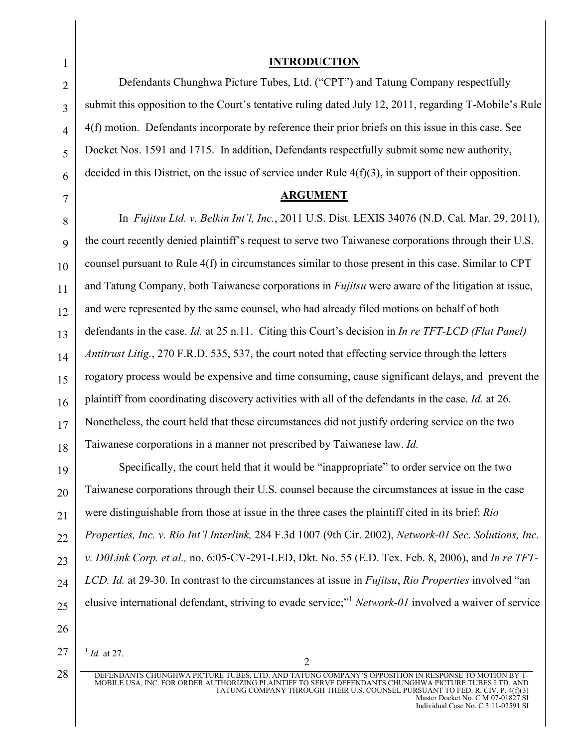## **INTRODUCTION**

Defendants Chunghwa Picture Tubes, Ltd. ("CPT") and Tatung Company respectfully submit this opposition to the Court's tentative ruling dated July 12, 2011, regarding T-Mobile's Rule 4(f) motion. Defendants incorporate by reference their prior briefs on this issue in this case. See Docket Nos. 1591 and 1715. In addition, Defendants respectfully submit some new authority, decided in this District, on the issue of service under Rule  $4(f)(3)$ , in support of their opposition.

## **ARGUMENT**

In *Fujitsu Ltd. v. Belkin Int'l, Inc.*, 2011 U.S. Dist. LEXIS 34076 (N.D. Cal. Mar. 29, 2011), the court recently denied plaintiff's request to serve two Taiwanese corporations through their U.S. counsel pursuant to Rule 4(f) in circumstances similar to those present in this case. Similar to CPT and Tatung Company, both Taiwanese corporations in *Fujitsu* were aware of the litigation at issue, and were represented by the same counsel, who had already filed motions on behalf of both defendants in the case. *Id.* at 25 n.11. Citing this Court's decision in *In re TFT-LCD (Flat Panel) Antitrust Litig.*, 270 F.R.D. 535, 537, the court noted that effecting service through the letters rogatory process would be expensive and time consuming, cause significant delays, and prevent the plaintiff from coordinating discovery activities with all of the defendants in the case. *Id.* at 26. Nonetheless, the court held that these circumstances did not justify ordering service on the two Taiwanese corporations in a manner not prescribed by Taiwanese law. *Id.* 

Specifically, the court held that it would be "inappropriate" to order service on the two Taiwanese corporations through their U.S. counsel because the circumstances at issue in the case were distinguishable from those at issue in the three cases the plaintiff cited in its brief: *Rio Properties, Inc. v. Rio Int'l Interlink,* 284 F.3d 1007 (9th Cir. 2002), *Network-01 Sec. Solutions, Inc. v. D0Link Corp. et al.,* no. 6:05-CV-291-LED, Dkt. No. 55 (E.D. Tex. Feb. 8, 2006), and *In re TFT-LCD. Id.* at 29-30. In contrast to the circumstances at issue in *Fujitsu*, *Rio Properties* involved "an elusive international defendant, striving to evade service;"<sup>1</sup> *Network-01* involved a waiver of service

1 *Id.* at 27.

DEFENDANTS CHUNGHWA PICTURE TUBES, LTD. AND TATUNG COMPANY'S OPPOSITION IN RESPONSE TO MOTION BY T-MOBILE USA, INC. FOR ORDER AUTHORIZING PLAINTIFF TO SERVE DEFENDANTS CHUNGHWA PICTURE TUBES LTD. AND TATUNG COMPANY THROUGH THEIR U.S. COUNSEL PURSUANT TO FED. R. CIV. P. 4(f)(3) Master Docket No. C M:07-01827 SI Individual Case No. C 3:11-02591 SI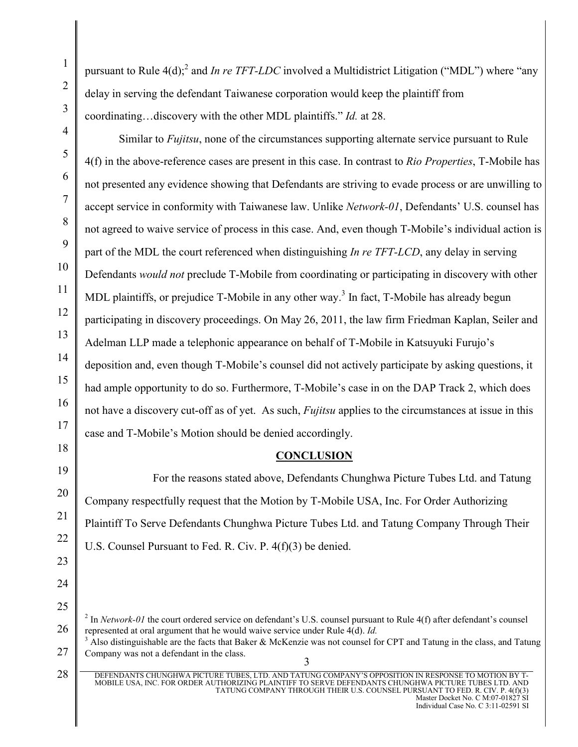pursuant to Rule 4(d);<sup>2</sup> and *In re TFT-LDC* involved a Multidistrict Litigation ("MDL") where "any delay in serving the defendant Taiwanese corporation would keep the plaintiff from coordinating…discovery with the other MDL plaintiffs." *Id.* at 28.

Similar to *Fujitsu*, none of the circumstances supporting alternate service pursuant to Rule 4(f) in the above-reference cases are present in this case. In contrast to *Rio Properties*, T-Mobile has not presented any evidence showing that Defendants are striving to evade process or are unwilling to accept service in conformity with Taiwanese law. Unlike *Network-01*, Defendants' U.S. counsel has not agreed to waive service of process in this case. And, even though T-Mobile's individual action is part of the MDL the court referenced when distinguishing *In re TFT-LCD*, any delay in serving Defendants *would not* preclude T-Mobile from coordinating or participating in discovery with other MDL plaintiffs, or prejudice T-Mobile in any other way.<sup>3</sup> In fact, T-Mobile has already begun participating in discovery proceedings. On May 26, 2011, the law firm Friedman Kaplan, Seiler and Adelman LLP made a telephonic appearance on behalf of T-Mobile in Katsuyuki Furujo's deposition and, even though T-Mobile's counsel did not actively participate by asking questions, it had ample opportunity to do so. Furthermore, T-Mobile's case in on the DAP Track 2, which does not have a discovery cut-off as of yet. As such, *Fujitsu* applies to the circumstances at issue in this case and T-Mobile's Motion should be denied accordingly.

## **CONCLUSION**

For the reasons stated above, Defendants Chunghwa Picture Tubes Ltd. and Tatung Company respectfully request that the Motion by T-Mobile USA, Inc. For Order Authorizing Plaintiff To Serve Defendants Chunghwa Picture Tubes Ltd. and Tatung Company Through Their U.S. Counsel Pursuant to Fed. R. Civ. P. 4(f)(3) be denied.

3  $3$  Also distinguishable are the facts that Baker & McKenzie was not counsel for CPT and Tatung in the class, and Tatung Company was not a defendant in the class.

 $^2$  In *Network-01* the court ordered service on defendant's U.S. counsel pursuant to Rule 4(f) after defendant's counsel represented at oral argument that he would waive service under Rule 4(d). *Id.* 

DEFENDANTS CHUNGHWA PICTURE TUBES, LTD. AND TATUNG COMPANY'S OPPOSITION IN RESPONSE TO MOTION BY T-MOBILE USA, INC. FOR ORDER AUTHORIZING PLAINTIFF TO SERVE DEFENDANTS CHUNGHWA PICTURE TUBES LTD. AND TATUNG COMPANY THROUGH THEIR U.S. COUNSEL PURSUANT TO FED. R. CIV. P. 4(f)(3) Master Docket No. C M:07-01827 SI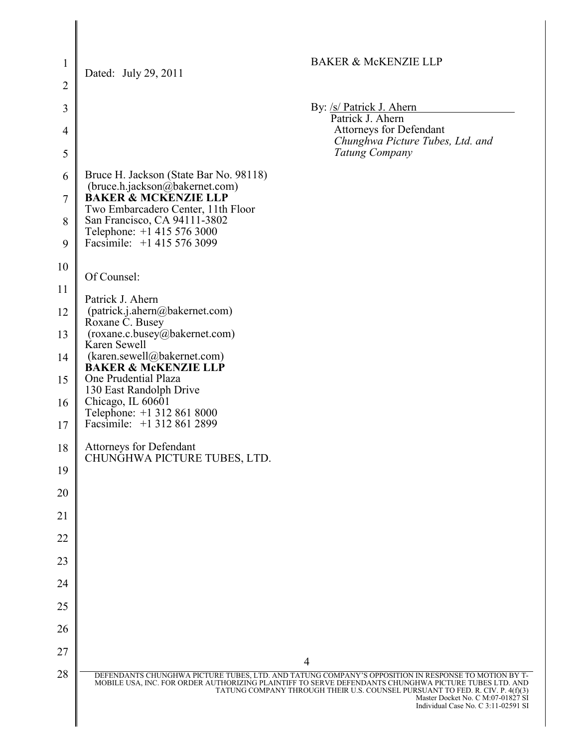| $\mathbf{1}$   | <b>BAKER &amp; McKENZIE LLP</b>                                                                                                                                                                                                                                   |
|----------------|-------------------------------------------------------------------------------------------------------------------------------------------------------------------------------------------------------------------------------------------------------------------|
| $\overline{2}$ | Dated: July 29, 2011                                                                                                                                                                                                                                              |
| $\overline{3}$ | By: /s/ Patrick J. Ahern                                                                                                                                                                                                                                          |
| $\overline{4}$ | Patrick J. Ahern<br><b>Attorneys for Defendant</b>                                                                                                                                                                                                                |
| 5              | Chunghwa Picture Tubes, Ltd. and<br><b>Tatung Company</b>                                                                                                                                                                                                         |
| 6              | Bruce H. Jackson (State Bar No. 98118)<br>(bruce.h.jackson@bakernet.com)                                                                                                                                                                                          |
| 7              | <b>BAKER &amp; MCKENZIE LLP</b><br>Two Embarcadero Center, 11th Floor                                                                                                                                                                                             |
| 8              | San Francisco, CA 94111-3802<br>Telephone: +1 415 576 3000                                                                                                                                                                                                        |
| 9              | Facsimile: +1 415 576 3099                                                                                                                                                                                                                                        |
| 10             | Of Counsel:                                                                                                                                                                                                                                                       |
| 11             | Patrick J. Ahern                                                                                                                                                                                                                                                  |
| 12             | (patrick.j.ahern@bakernet.com)<br>Roxane C. Busey                                                                                                                                                                                                                 |
| 13             | (roxane.c.busey@bakernet.com)<br>Karen Sewell                                                                                                                                                                                                                     |
| 14             | (karen.sewell@bakernet.com)<br><b>BAKER &amp; MCKENZIE LLP</b>                                                                                                                                                                                                    |
| 15             | One Prudential Plaza<br>130 East Randolph Drive                                                                                                                                                                                                                   |
| 16             | Chicago, IL 60601<br>Telephone: +1 312 861 8000<br>Facsimile: +1 312 861 2899                                                                                                                                                                                     |
| 17             | <b>Attorneys for Defendant</b>                                                                                                                                                                                                                                    |
| 18             | CHUNGHWA PICTURE TUBES, LTD.                                                                                                                                                                                                                                      |
| 19<br>20       |                                                                                                                                                                                                                                                                   |
| 21             |                                                                                                                                                                                                                                                                   |
| 22             |                                                                                                                                                                                                                                                                   |
| 23             |                                                                                                                                                                                                                                                                   |
| 24             |                                                                                                                                                                                                                                                                   |
| 25             |                                                                                                                                                                                                                                                                   |
| 26             |                                                                                                                                                                                                                                                                   |
| 27             |                                                                                                                                                                                                                                                                   |
| 28             | $\overline{4}$<br>DEFENDANTS CHUNGHWA PICTURE TUBES, LTD. AND TATUNG COMPANY'S OPPOSITION IN RESPONSE TO MOTION BY T-                                                                                                                                             |
|                | MOBILE USA, INC. FOR ORDER AUTHORIZING PLAINTIFF TO SERVE DEFENDANTS CHUNGHWA PICTURE TUBES LTD. AND<br>TATUNG COMPANY THROUGH THEIR U.S. COUNSEL PURSUANT TO FED. R. CIV. P. 4(f)(3)<br>Master Docket No. C M:07-01827 SI<br>Individual Case No. C 3:11-02591 SI |